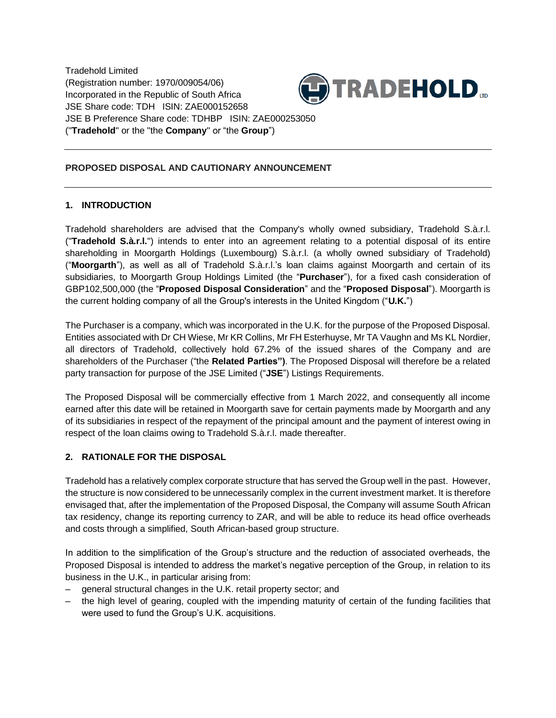Tradehold Limited (Registration number: 1970/009054/06) Incorporated in the Republic of South Africa JSE Share code: TDH ISIN: ZAE000152658 JSE B Preference Share code: TDHBP ISIN: ZAE000253050 ("**Tradehold**" or the "the **Company**" or "the **Group**")



## **PROPOSED DISPOSAL AND CAUTIONARY ANNOUNCEMENT**

## **1. INTRODUCTION**

Tradehold shareholders are advised that the Company's wholly owned subsidiary, Tradehold S.à.r.l. ("**Tradehold S.à.r.l.**") intends to enter into an agreement relating to a potential disposal of its entire shareholding in Moorgarth Holdings (Luxembourg) S.à.r.l. (a wholly owned subsidiary of Tradehold) ("**Moorgarth**"), as well as all of Tradehold S.à.r.l.'s loan claims against Moorgarth and certain of its subsidiaries, to Moorgarth Group Holdings Limited (the "**Purchaser**"), for a fixed cash consideration of GBP102,500,000 (the "**Proposed Disposal Consideration**" and the "**Proposed Disposal**"). Moorgarth is the current holding company of all the Group's interests in the United Kingdom ("**U.K.**")

The Purchaser is a company, which was incorporated in the U.K. for the purpose of the Proposed Disposal. Entities associated with Dr CH Wiese, Mr KR Collins, Mr FH Esterhuyse, Mr TA Vaughn and Ms KL Nordier, all directors of Tradehold, collectively hold 67.2% of the issued shares of the Company and are shareholders of the Purchaser ("the **Related Parties")**. The Proposed Disposal will therefore be a related party transaction for purpose of the JSE Limited ("**JSE**") Listings Requirements.

The Proposed Disposal will be commercially effective from 1 March 2022, and consequently all income earned after this date will be retained in Moorgarth save for certain payments made by Moorgarth and any of its subsidiaries in respect of the repayment of the principal amount and the payment of interest owing in respect of the loan claims owing to Tradehold S.à.r.l. made thereafter.

## **2. RATIONALE FOR THE DISPOSAL**

Tradehold has a relatively complex corporate structure that has served the Group well in the past. However, the structure is now considered to be unnecessarily complex in the current investment market. It is therefore envisaged that, after the implementation of the Proposed Disposal, the Company will assume South African tax residency, change its reporting currency to ZAR, and will be able to reduce its head office overheads and costs through a simplified, South African-based group structure.

In addition to the simplification of the Group's structure and the reduction of associated overheads, the Proposed Disposal is intended to address the market's negative perception of the Group, in relation to its business in the U.K., in particular arising from:

- general structural changes in the U.K. retail property sector; and
- the high level of gearing, coupled with the impending maturity of certain of the funding facilities that were used to fund the Group's U.K. acquisitions.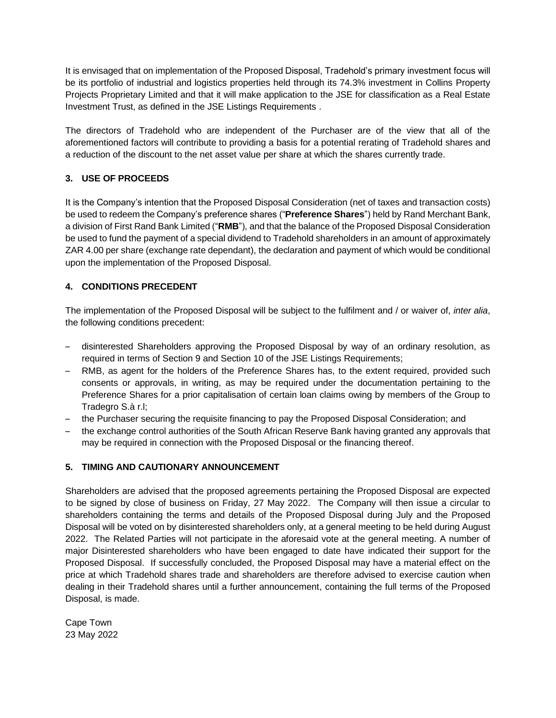It is envisaged that on implementation of the Proposed Disposal, Tradehold's primary investment focus will be its portfolio of industrial and logistics properties held through its 74.3% investment in Collins Property Projects Proprietary Limited and that it will make application to the JSE for classification as a Real Estate Investment Trust, as defined in the JSE Listings Requirements .

The directors of Tradehold who are independent of the Purchaser are of the view that all of the aforementioned factors will contribute to providing a basis for a potential rerating of Tradehold shares and a reduction of the discount to the net asset value per share at which the shares currently trade.

## **3. USE OF PROCEEDS**

It is the Company's intention that the Proposed Disposal Consideration (net of taxes and transaction costs) be used to redeem the Company's preference shares ("**Preference Shares**") held by Rand Merchant Bank, a division of First Rand Bank Limited ("**RMB**"), and that the balance of the Proposed Disposal Consideration be used to fund the payment of a special dividend to Tradehold shareholders in an amount of approximately ZAR 4.00 per share (exchange rate dependant), the declaration and payment of which would be conditional upon the implementation of the Proposed Disposal.

# **4. CONDITIONS PRECEDENT**

The implementation of the Proposed Disposal will be subject to the fulfilment and / or waiver of, *inter alia*, the following conditions precedent:

- disinterested Shareholders approving the Proposed Disposal by way of an ordinary resolution, as required in terms of Section 9 and Section 10 of the JSE Listings Requirements;
- RMB, as agent for the holders of the Preference Shares has, to the extent required, provided such consents or approvals, in writing, as may be required under the documentation pertaining to the Preference Shares for a prior capitalisation of certain loan claims owing by members of the Group to Tradegro S.à r.l;
- the Purchaser securing the requisite financing to pay the Proposed Disposal Consideration; and
- the exchange control authorities of the South African Reserve Bank having granted any approvals that may be required in connection with the Proposed Disposal or the financing thereof.

## **5. TIMING AND CAUTIONARY ANNOUNCEMENT**

Shareholders are advised that the proposed agreements pertaining the Proposed Disposal are expected to be signed by close of business on Friday, 27 May 2022. The Company will then issue a circular to shareholders containing the terms and details of the Proposed Disposal during July and the Proposed Disposal will be voted on by disinterested shareholders only, at a general meeting to be held during August 2022. The Related Parties will not participate in the aforesaid vote at the general meeting. A number of major Disinterested shareholders who have been engaged to date have indicated their support for the Proposed Disposal. If successfully concluded, the Proposed Disposal may have a material effect on the price at which Tradehold shares trade and shareholders are therefore advised to exercise caution when dealing in their Tradehold shares until a further announcement, containing the full terms of the Proposed Disposal, is made.

Cape Town 23 May 2022